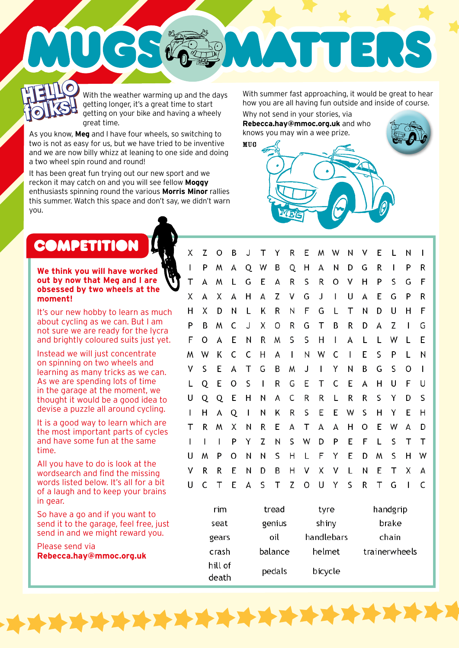With the weather warming up and the days getting longer, it's a great time to start getting on your bike and having a wheely great time. **HELLO w HELLO**  With the weather warming up and the days With summer fast approaching, it would be great to hear<br>getting longer, it's a great time to start how you are all having fun outside and inside of course.<br>The distribution of the s

As you know, **Meg** and I have four wheels, so switching to two is not as easy for us, but we have tried to be inventive and we are now billy whizz at leaning to one side and doing a two wheel spin round and round!

UCS

It has been great fun trying out our new sport and we reckon it may catch on and you will see fellow **Moggy** enthusiasts spinning round the various **Morris Minor** rallies this summer. Watch this space and don't say, we didn't warn you.

how you are all having fun outside and inside of course.

 $\overline{\mathbf{z}}$ 

Why not send in your stories, via **Rebecca.hay@mmoc.org.uk** and who knows you may win a wee prize.

WDE

**THE** 

MUG



**folks!**

## **We think you will have worked out by now that Meg and I are obsessed by two wheels at the moment!**

It's our new hobby to learn as much about cycling as we can. But I am not sure we are ready for the lycra and brightly coloured suits just yet.

Instead we will just concentrate on spinning on two wheels and learning as many tricks as we can. As we are spending lots of time in the garage at the moment, we thought it would be a good idea to devise a puzzle all around cycling.

It is a good way to learn which are the most important parts of cycles and have some fun at the same time.

All you have to do is look at the wordsearch and find the missing words listed below. It's all for a bit of a laugh and to keep your brains in gear.

So have a go and if you want to send it to the garage, feel free, just send in and we might reward you.

Please send via **Rebecca.hay@mmoc.org.uk**

| X | Z | O | Β | J | т            | Y | R                        | Ε | M            | W            | Ν            | ۷ | Е | L | Ν            | L            |
|---|---|---|---|---|--------------|---|--------------------------|---|--------------|--------------|--------------|---|---|---|--------------|--------------|
| L | P | M | А | Q | W            | В | Q                        | Н | А            | N            | D            | G | R | I | P            | R            |
| Τ | А | M | L | G | E            | А | R                        | S | R            | O            | ٧            | Н | P | S | G            | F            |
| Χ | A | Χ | А | н | А            | Z | ٧                        | G | J            | $\mathbf{I}$ | U            | А | Ε | G | P            | R            |
| н | Х | D | N | L | Κ            | R | Ν                        | F | G            | L            | Т            | Ν | D | U | н            | F            |
| P | B | W | С | J | Χ            | O | R                        | G | Τ            | Β            | R            | D | А | Z | $\perp$      | G            |
| F | O | A | Ε | N | R            | M | S                        | S | н            | $\mathbf{I}$ | А            | L | L | W | L            | Ε            |
| W | W | Κ | C | С | н            | А | $\overline{\phantom{a}}$ | Ν | W            | C            | $\mathbf{I}$ | Ε | S | P | L            | Ν            |
| ٧ | S | Ε | А | Τ | G            | Β | W                        | J | $\mathbf{I}$ | Y            | Ν            | Β | G | S | O            | $\mathsf{l}$ |
| L | Q | E | O | S | $\mathbf{I}$ | R | G                        | Ε | Τ            | C            | E            | А | н | U | F            | U            |
| U | Q | Q | Ε | н | N            | А | С                        | R | R            | L            | R            | R | S | Υ | D            | S            |
| L | н | А | Q | T | Ν            | Κ | R                        | S | Ε            | Ε            | W            | S | н | Υ | Ε            | н            |
| Τ | R | M | Х | Ν | R            | Ε | А                        | Τ | А            | А            | н            | Ο | Е | W | А            | D            |
| I | I | I | P | Υ | Z            | N | S                        | W | D            | P            | E            | F | Г | S | Т            | Т            |
| U | M | P | O | Ν | Ν            | S | Η                        | L | F            | Υ            | Ε            | D | M | S | н            | W            |
| ٧ | R | R | E | Ν | D            | Β | Н                        | ٧ | Χ            | ٧            | L            | N | Е | Τ | Χ            | А            |
| U | C | Τ | E | А | S            | Τ | Z                        | 0 | U            | Υ            | S            | R | Τ | G | $\mathbf{I}$ | C            |
|   |   |   |   |   |              |   |                          |   |              |              |              |   |   |   |              |              |

| rim              | tread   | tyre       | handgrip      |
|------------------|---------|------------|---------------|
| seat             | genius  | shiny      | brake         |
| gears            | oil     | handlebars | chain         |
| crash            | balance | helmet     | trainerwheels |
| hill of<br>death | pedals  | bicycle    |               |

**XXXXXX**